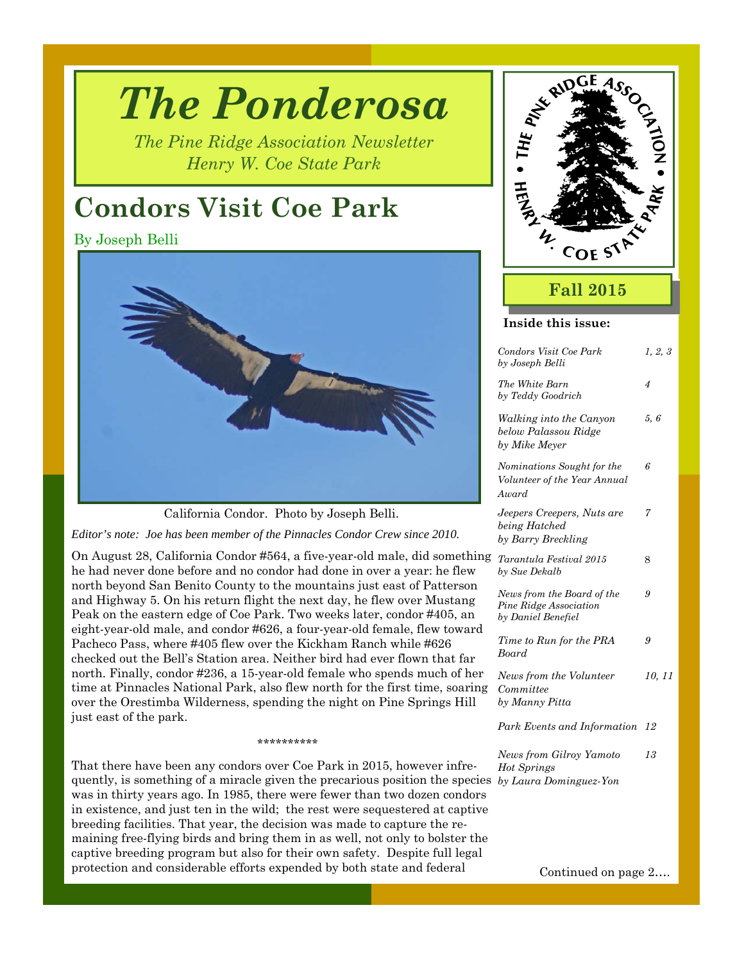# *The Ponderosa*

*The Pine Ridge Association Newsletter Henry W. Coe State Park* 

# **Condors Visit Coe Park**

By Joseph Belli



California Condor. Photo by Joseph Belli.

*Editor's note: Joe has been member of the Pinnacles Condor Crew since 2010.* 

On August 28, California Condor #564, a five-year-old male, did something he had never done before and no condor had done in over a year: he flew north beyond San Benito County to the mountains just east of Patterson and Highway 5. On his return flight the next day, he flew over Mustang Peak on the eastern edge of Coe Park. Two weeks later, condor #405, an eight-year-old male, and condor #626, a four-year-old female, flew toward Pacheco Pass, where #405 flew over the Kickham Ranch while #626 checked out the Bell's Station area. Neither bird had ever flown that far north. Finally, condor #236, a 15-year-old female who spends much of her time at Pinnacles National Park, also flew north for the first time, soaring over the Orestimba Wilderness, spending the night on Pine Springs Hill just east of the park.

*by Laura Dominguez-Yon*  quently, is something of a miracle given the precarious position the species That there have been any condors over Coe Park in 2015, however infrewas in thirty years ago. In 1985, there were fewer than two dozen condors in existence, and just ten in the wild; the rest were sequestered at captive breeding facilities. That year, the decision was made to capture the remaining free-flying birds and bring them in as well, not only to bolster the captive breeding program but also for their own safety. Despite full legal protection and considerable efforts expended by both state and federal

\*\*\*\*\*\*\*\*\*\*



## **Fall 2015**

#### **Inside this issue:**

| Condors Visit Coe Park<br>by Joseph Belli                                  | 1, 2, 3 |
|----------------------------------------------------------------------------|---------|
| The White Barn<br>by Teddy Goodrich                                        | 4       |
| Walking into the Canyon<br>below Palassou Ridge<br>by Mike Meyer           | 5,6     |
| Nominations Sought for the<br>Volunteer of the Year Annual<br>Award        | 6       |
| Jeepers Creepers, Nuts are<br>being Hatched<br>by Barry Breckling          | 7       |
| Tarantula Festival 2015<br>by Sue Dekalb                                   | 8       |
| News from the Board of the<br>Pine Ridge Association<br>by Daniel Benefiel | 9       |
| Time to Run for the PRA<br><b>Board</b>                                    | 9       |
| News from the Volunteer<br>Committee<br>by Manny Pitta                     | 10, 11  |
| Park Events and Information                                                | 12      |
| News from Gilroy Yamoto<br>Hot Springs                                     | 13      |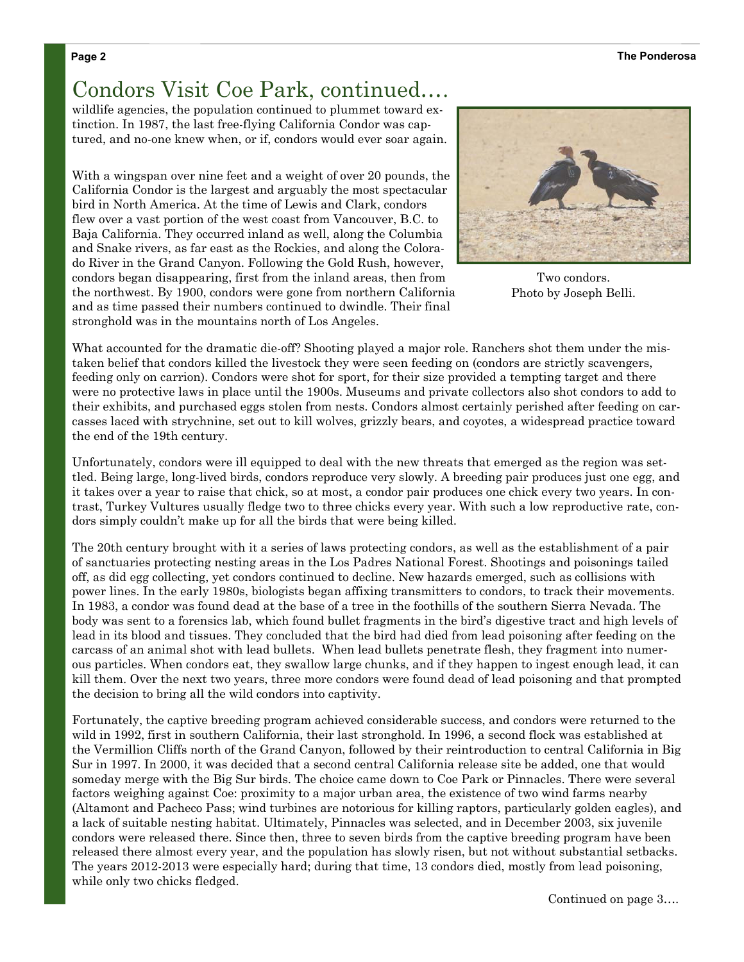# Condors Visit Coe Park, continued….

wildlife agencies, the population continued to plummet toward extinction. In 1987, the last free-flying California Condor was captured, and no-one knew when, or if, condors would ever soar again.

With a wingspan over nine feet and a weight of over 20 pounds, the California Condor is the largest and arguably the most spectacular bird in North America. At the time of Lewis and Clark, condors flew over a vast portion of the west coast from Vancouver, B.C. to Baja California. They occurred inland as well, along the Columbia and Snake rivers, as far east as the Rockies, and along the Colorado River in the Grand Canyon. Following the Gold Rush, however, condors began disappearing, first from the inland areas, then from the northwest. By 1900, condors were gone from northern California and as time passed their numbers continued to dwindle. Their final stronghold was in the mountains north of Los Angeles.



Two condors. Photo by Joseph Belli.

What accounted for the dramatic die-off? Shooting played a major role. Ranchers shot them under the mistaken belief that condors killed the livestock they were seen feeding on (condors are strictly scavengers, feeding only on carrion). Condors were shot for sport, for their size provided a tempting target and there were no protective laws in place until the 1900s. Museums and private collectors also shot condors to add to their exhibits, and purchased eggs stolen from nests. Condors almost certainly perished after feeding on carcasses laced with strychnine, set out to kill wolves, grizzly bears, and coyotes, a widespread practice toward the end of the 19th century.

Unfortunately, condors were ill equipped to deal with the new threats that emerged as the region was settled. Being large, long-lived birds, condors reproduce very slowly. A breeding pair produces just one egg, and it takes over a year to raise that chick, so at most, a condor pair produces one chick every two years. In contrast, Turkey Vultures usually fledge two to three chicks every year. With such a low reproductive rate, condors simply couldn't make up for all the birds that were being killed.

The 20th century brought with it a series of laws protecting condors, as well as the establishment of a pair of sanctuaries protecting nesting areas in the Los Padres National Forest. Shootings and poisonings tailed off, as did egg collecting, yet condors continued to decline. New hazards emerged, such as collisions with power lines. In the early 1980s, biologists began affixing transmitters to condors, to track their movements. In 1983, a condor was found dead at the base of a tree in the foothills of the southern Sierra Nevada. The body was sent to a forensics lab, which found bullet fragments in the bird's digestive tract and high levels of lead in its blood and tissues. They concluded that the bird had died from lead poisoning after feeding on the carcass of an animal shot with lead bullets. When lead bullets penetrate flesh, they fragment into numerous particles. When condors eat, they swallow large chunks, and if they happen to ingest enough lead, it can kill them. Over the next two years, three more condors were found dead of lead poisoning and that prompted the decision to bring all the wild condors into captivity.

Fortunately, the captive breeding program achieved considerable success, and condors were returned to the wild in 1992, first in southern California, their last stronghold. In 1996, a second flock was established at the Vermillion Cliffs north of the Grand Canyon, followed by their reintroduction to central California in Big Sur in 1997. In 2000, it was decided that a second central California release site be added, one that would someday merge with the Big Sur birds. The choice came down to Coe Park or Pinnacles. There were several factors weighing against Coe: proximity to a major urban area, the existence of two wind farms nearby (Altamont and Pacheco Pass; wind turbines are notorious for killing raptors, particularly golden eagles), and a lack of suitable nesting habitat. Ultimately, Pinnacles was selected, and in December 2003, six juvenile condors were released there. Since then, three to seven birds from the captive breeding program have been released there almost every year, and the population has slowly risen, but not without substantial setbacks. The years 2012-2013 were especially hard; during that time, 13 condors died, mostly from lead poisoning, while only two chicks fledged.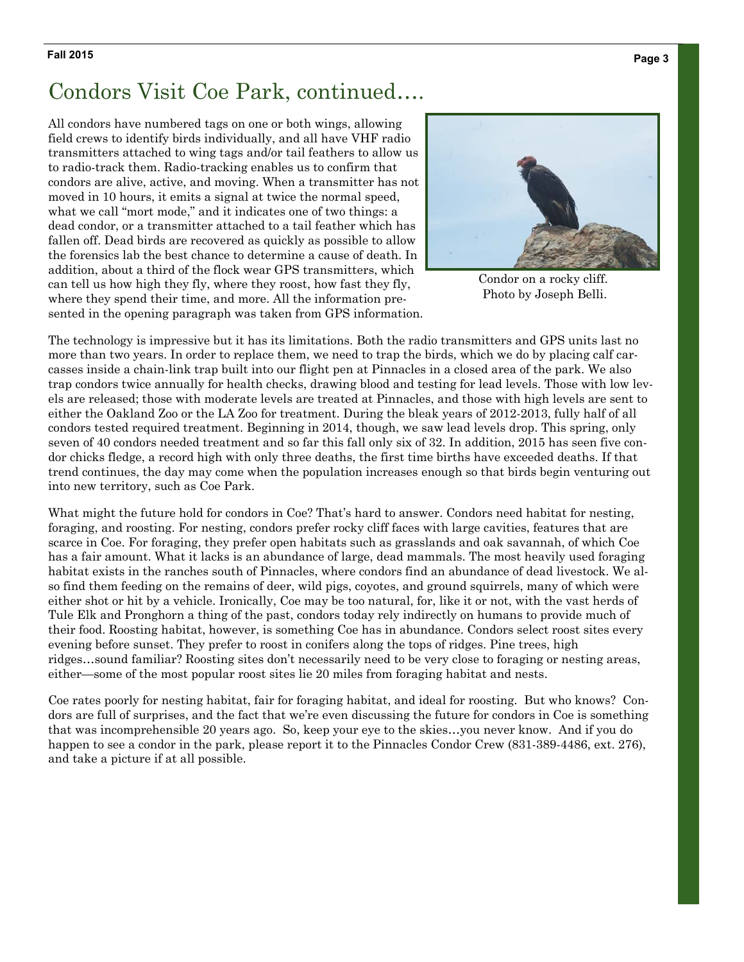#### **Page 3 Fall 2015**

## Condors Visit Coe Park, continued….

All condors have numbered tags on one or both wings, allowing field crews to identify birds individually, and all have VHF radio transmitters attached to wing tags and/or tail feathers to allow us to radio-track them. Radio-tracking enables us to confirm that condors are alive, active, and moving. When a transmitter has not moved in 10 hours, it emits a signal at twice the normal speed, what we call "mort mode," and it indicates one of two things: a dead condor, or a transmitter attached to a tail feather which has fallen off. Dead birds are recovered as quickly as possible to allow the forensics lab the best chance to determine a cause of death. In addition, about a third of the flock wear GPS transmitters, which can tell us how high they fly, where they roost, how fast they fly, where they spend their time, and more. All the information presented in the opening paragraph was taken from GPS information.



Condor on a rocky cliff. Photo by Joseph Belli.

The technology is impressive but it has its limitations. Both the radio transmitters and GPS units last no more than two years. In order to replace them, we need to trap the birds, which we do by placing calf carcasses inside a chain-link trap built into our flight pen at Pinnacles in a closed area of the park. We also trap condors twice annually for health checks, drawing blood and testing for lead levels. Those with low levels are released; those with moderate levels are treated at Pinnacles, and those with high levels are sent to either the Oakland Zoo or the LA Zoo for treatment. During the bleak years of 2012-2013, fully half of all condors tested required treatment. Beginning in 2014, though, we saw lead levels drop. This spring, only seven of 40 condors needed treatment and so far this fall only six of 32. In addition, 2015 has seen five condor chicks fledge, a record high with only three deaths, the first time births have exceeded deaths. If that trend continues, the day may come when the population increases enough so that birds begin venturing out into new territory, such as Coe Park.

What might the future hold for condors in Coe? That's hard to answer. Condors need habitat for nesting, foraging, and roosting. For nesting, condors prefer rocky cliff faces with large cavities, features that are scarce in Coe. For foraging, they prefer open habitats such as grasslands and oak savannah, of which Coe has a fair amount. What it lacks is an abundance of large, dead mammals. The most heavily used foraging habitat exists in the ranches south of Pinnacles, where condors find an abundance of dead livestock. We also find them feeding on the remains of deer, wild pigs, coyotes, and ground squirrels, many of which were either shot or hit by a vehicle. Ironically, Coe may be too natural, for, like it or not, with the vast herds of Tule Elk and Pronghorn a thing of the past, condors today rely indirectly on humans to provide much of their food. Roosting habitat, however, is something Coe has in abundance. Condors select roost sites every evening before sunset. They prefer to roost in conifers along the tops of ridges. Pine trees, high ridges…sound familiar? Roosting sites don't necessarily need to be very close to foraging or nesting areas, either—some of the most popular roost sites lie 20 miles from foraging habitat and nests.

Coe rates poorly for nesting habitat, fair for foraging habitat, and ideal for roosting. But who knows? Condors are full of surprises, and the fact that we're even discussing the future for condors in Coe is something that was incomprehensible 20 years ago. So, keep your eye to the skies…you never know. And if you do happen to see a condor in the park, please report it to the Pinnacles Condor Crew (831-389-4486, ext. 276), and take a picture if at all possible.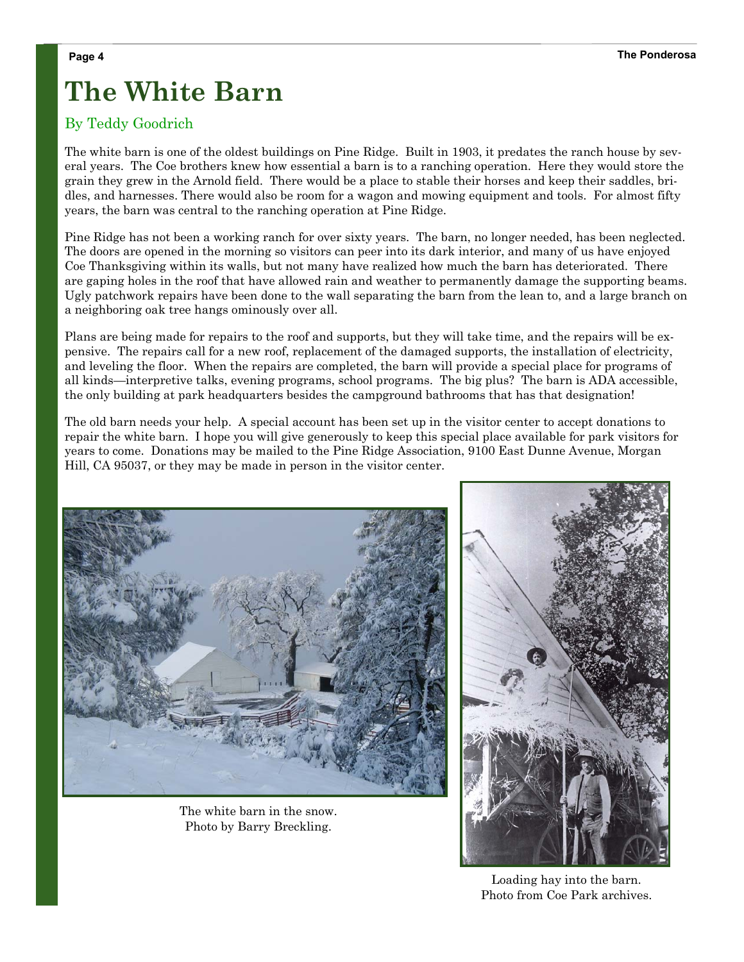# **The White Barn**

### By Teddy Goodrich

The white barn is one of the oldest buildings on Pine Ridge. Built in 1903, it predates the ranch house by several years. The Coe brothers knew how essential a barn is to a ranching operation. Here they would store the grain they grew in the Arnold field. There would be a place to stable their horses and keep their saddles, bridles, and harnesses. There would also be room for a wagon and mowing equipment and tools. For almost fifty years, the barn was central to the ranching operation at Pine Ridge.

Pine Ridge has not been a working ranch for over sixty years. The barn, no longer needed, has been neglected. The doors are opened in the morning so visitors can peer into its dark interior, and many of us have enjoyed Coe Thanksgiving within its walls, but not many have realized how much the barn has deteriorated. There are gaping holes in the roof that have allowed rain and weather to permanently damage the supporting beams. Ugly patchwork repairs have been done to the wall separating the barn from the lean to, and a large branch on a neighboring oak tree hangs ominously over all.

Plans are being made for repairs to the roof and supports, but they will take time, and the repairs will be expensive. The repairs call for a new roof, replacement of the damaged supports, the installation of electricity, and leveling the floor. When the repairs are completed, the barn will provide a special place for programs of all kinds—interpretive talks, evening programs, school programs. The big plus? The barn is ADA accessible, the only building at park headquarters besides the campground bathrooms that has that designation!

The old barn needs your help. A special account has been set up in the visitor center to accept donations to repair the white barn. I hope you will give generously to keep this special place available for park visitors for years to come. Donations may be mailed to the Pine Ridge Association, 9100 East Dunne Avenue, Morgan Hill, CA 95037, or they may be made in person in the visitor center.



The white barn in the snow. Photo by Barry Breckling.



Loading hay into the barn. Photo from Coe Park archives.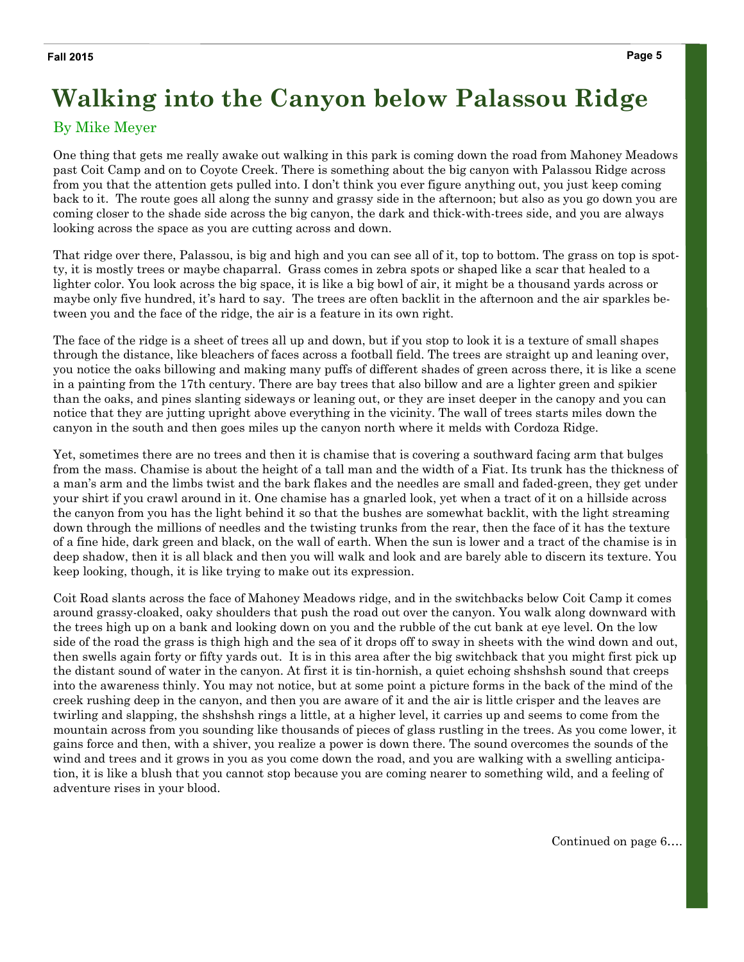# **Walking into the Canyon below Palassou Ridge**

### By Mike Meyer

One thing that gets me really awake out walking in this park is coming down the road from Mahoney Meadows past Coit Camp and on to Coyote Creek. There is something about the big canyon with Palassou Ridge across from you that the attention gets pulled into. I don't think you ever figure anything out, you just keep coming back to it. The route goes all along the sunny and grassy side in the afternoon; but also as you go down you are coming closer to the shade side across the big canyon, the dark and thick-with-trees side, and you are always looking across the space as you are cutting across and down.

That ridge over there, Palassou, is big and high and you can see all of it, top to bottom. The grass on top is spotty, it is mostly trees or maybe chaparral. Grass comes in zebra spots or shaped like a scar that healed to a lighter color. You look across the big space, it is like a big bowl of air, it might be a thousand yards across or maybe only five hundred, it's hard to say. The trees are often backlit in the afternoon and the air sparkles between you and the face of the ridge, the air is a feature in its own right.

The face of the ridge is a sheet of trees all up and down, but if you stop to look it is a texture of small shapes through the distance, like bleachers of faces across a football field. The trees are straight up and leaning over, you notice the oaks billowing and making many puffs of different shades of green across there, it is like a scene in a painting from the 17th century. There are bay trees that also billow and are a lighter green and spikier than the oaks, and pines slanting sideways or leaning out, or they are inset deeper in the canopy and you can notice that they are jutting upright above everything in the vicinity. The wall of trees starts miles down the canyon in the south and then goes miles up the canyon north where it melds with Cordoza Ridge.

Yet, sometimes there are no trees and then it is chamise that is covering a southward facing arm that bulges from the mass. Chamise is about the height of a tall man and the width of a Fiat. Its trunk has the thickness of a man's arm and the limbs twist and the bark flakes and the needles are small and faded-green, they get under your shirt if you crawl around in it. One chamise has a gnarled look, yet when a tract of it on a hillside across the canyon from you has the light behind it so that the bushes are somewhat backlit, with the light streaming down through the millions of needles and the twisting trunks from the rear, then the face of it has the texture of a fine hide, dark green and black, on the wall of earth. When the sun is lower and a tract of the chamise is in deep shadow, then it is all black and then you will walk and look and are barely able to discern its texture. You keep looking, though, it is like trying to make out its expression.

Coit Road slants across the face of Mahoney Meadows ridge, and in the switchbacks below Coit Camp it comes around grassy-cloaked, oaky shoulders that push the road out over the canyon. You walk along downward with the trees high up on a bank and looking down on you and the rubble of the cut bank at eye level. On the low side of the road the grass is thigh high and the sea of it drops off to sway in sheets with the wind down and out, then swells again forty or fifty yards out. It is in this area after the big switchback that you might first pick up the distant sound of water in the canyon. At first it is tin-hornish, a quiet echoing shshshsh sound that creeps into the awareness thinly. You may not notice, but at some point a picture forms in the back of the mind of the creek rushing deep in the canyon, and then you are aware of it and the air is little crisper and the leaves are twirling and slapping, the shshshsh rings a little, at a higher level, it carries up and seems to come from the mountain across from you sounding like thousands of pieces of glass rustling in the trees. As you come lower, it gains force and then, with a shiver, you realize a power is down there. The sound overcomes the sounds of the wind and trees and it grows in you as you come down the road, and you are walking with a swelling anticipation, it is like a blush that you cannot stop because you are coming nearer to something wild, and a feeling of adventure rises in your blood.

Continued on page 6….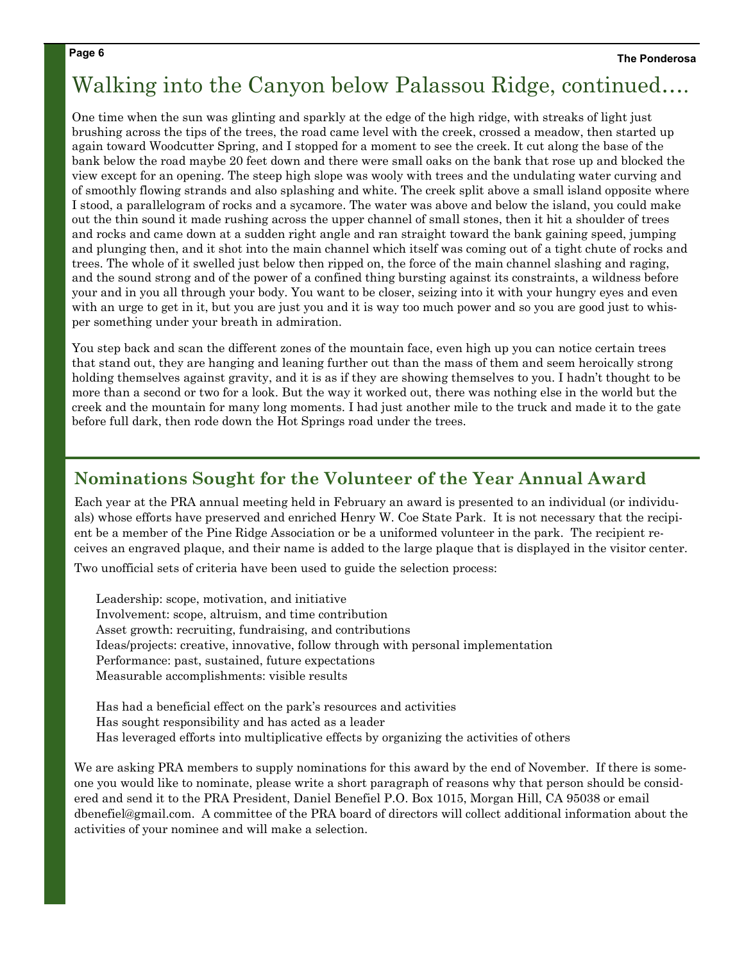## Walking into the Canyon below Palassou Ridge, continued….

One time when the sun was glinting and sparkly at the edge of the high ridge, with streaks of light just brushing across the tips of the trees, the road came level with the creek, crossed a meadow, then started up again toward Woodcutter Spring, and I stopped for a moment to see the creek. It cut along the base of the bank below the road maybe 20 feet down and there were small oaks on the bank that rose up and blocked the view except for an opening. The steep high slope was wooly with trees and the undulating water curving and of smoothly flowing strands and also splashing and white. The creek split above a small island opposite where I stood, a parallelogram of rocks and a sycamore. The water was above and below the island, you could make out the thin sound it made rushing across the upper channel of small stones, then it hit a shoulder of trees and rocks and came down at a sudden right angle and ran straight toward the bank gaining speed, jumping and plunging then, and it shot into the main channel which itself was coming out of a tight chute of rocks and trees. The whole of it swelled just below then ripped on, the force of the main channel slashing and raging, and the sound strong and of the power of a confined thing bursting against its constraints, a wildness before your and in you all through your body. You want to be closer, seizing into it with your hungry eyes and even with an urge to get in it, but you are just you and it is way too much power and so you are good just to whisper something under your breath in admiration.

You step back and scan the different zones of the mountain face, even high up you can notice certain trees that stand out, they are hanging and leaning further out than the mass of them and seem heroically strong holding themselves against gravity, and it is as if they are showing themselves to you. I hadn't thought to be more than a second or two for a look. But the way it worked out, there was nothing else in the world but the creek and the mountain for many long moments. I had just another mile to the truck and made it to the gate before full dark, then rode down the Hot Springs road under the trees.

## **Nominations Sought for the Volunteer of the Year Annual Award**

Each year at the PRA annual meeting held in February an award is presented to an individual (or individuals) whose efforts have preserved and enriched Henry W. Coe State Park. It is not necessary that the recipient be a member of the Pine Ridge Association or be a uniformed volunteer in the park. The recipient receives an engraved plaque, and their name is added to the large plaque that is displayed in the visitor center.

Two unofficial sets of criteria have been used to guide the selection process:

Leadership: scope, motivation, and initiative Involvement: scope, altruism, and time contribution Asset growth: recruiting, fundraising, and contributions Ideas/projects: creative, innovative, follow through with personal implementation Performance: past, sustained, future expectations Measurable accomplishments: visible results

Has had a beneficial effect on the park's resources and activities Has sought responsibility and has acted as a leader Has leveraged efforts into multiplicative effects by organizing the activities of others

We are asking PRA members to supply nominations for this award by the end of November. If there is someone you would like to nominate, please write a short paragraph of reasons why that person should be considered and send it to the PRA President, Daniel Benefiel P.O. Box 1015, Morgan Hill, CA 95038 or email dbenefiel@gmail.com. A committee of the PRA board of directors will collect additional information about the activities of your nominee and will make a selection.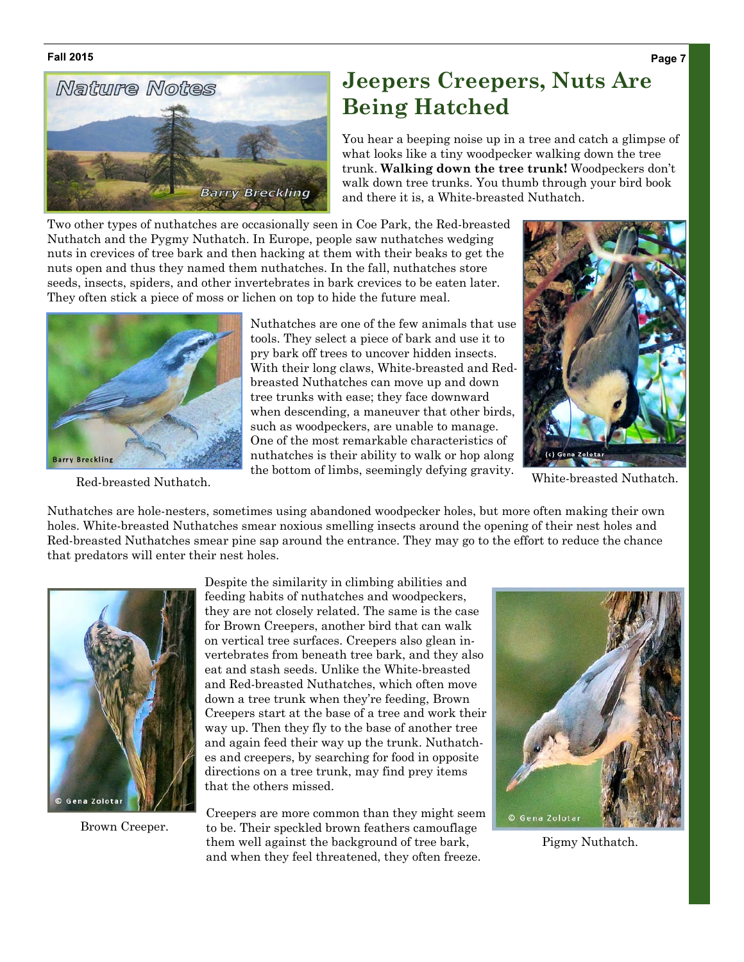#### **Fall 2015**



## **Jeepers Creepers, Nuts Are Being Hatched**

You hear a beeping noise up in a tree and catch a glimpse of what looks like a tiny woodpecker walking down the tree trunk. **Walking down the tree trunk!** Woodpeckers don't walk down tree trunks. You thumb through your bird book and there it is, a White-breasted Nuthatch.

Two other types of nuthatches are occasionally seen in Coe Park, the Red-breasted Nuthatch and the Pygmy Nuthatch. In Europe, people saw nuthatches wedging nuts in crevices of tree bark and then hacking at them with their beaks to get the nuts open and thus they named them nuthatches. In the fall, nuthatches store seeds, insects, spiders, and other invertebrates in bark crevices to be eaten later. They often stick a piece of moss or lichen on top to hide the future meal.



Nuthatches are one of the few animals that use tools. They select a piece of bark and use it to pry bark off trees to uncover hidden insects. With their long claws, White-breasted and Redbreasted Nuthatches can move up and down tree trunks with ease; they face downward when descending, a maneuver that other birds, such as woodpeckers, are unable to manage. One of the most remarkable characteristics of nuthatches is their ability to walk or hop along the bottom of limbs, seemingly defying gravity.



Red-breasted Nuthatch. The bottom of finites, seemingly delying gravity. White-breasted Nuthatch.

Nuthatches are hole-nesters, sometimes using abandoned woodpecker holes, but more often making their own holes. White-breasted Nuthatches smear noxious smelling insects around the opening of their nest holes and Red-breasted Nuthatches smear pine sap around the entrance. They may go to the effort to reduce the chance that predators will enter their nest holes.



Brown Creeper.

Despite the similarity in climbing abilities and feeding habits of nuthatches and woodpeckers, they are not closely related. The same is the case for Brown Creepers, another bird that can walk on vertical tree surfaces. Creepers also glean invertebrates from beneath tree bark, and they also eat and stash seeds. Unlike the White-breasted and Red-breasted Nuthatches, which often move down a tree trunk when they're feeding, Brown Creepers start at the base of a tree and work their way up. Then they fly to the base of another tree and again feed their way up the trunk. Nuthatches and creepers, by searching for food in opposite directions on a tree trunk, may find prey items that the others missed.

Creepers are more common than they might seem to be. Their speckled brown feathers camouflage them well against the background of tree bark, and when they feel threatened, they often freeze.



Pigmy Nuthatch.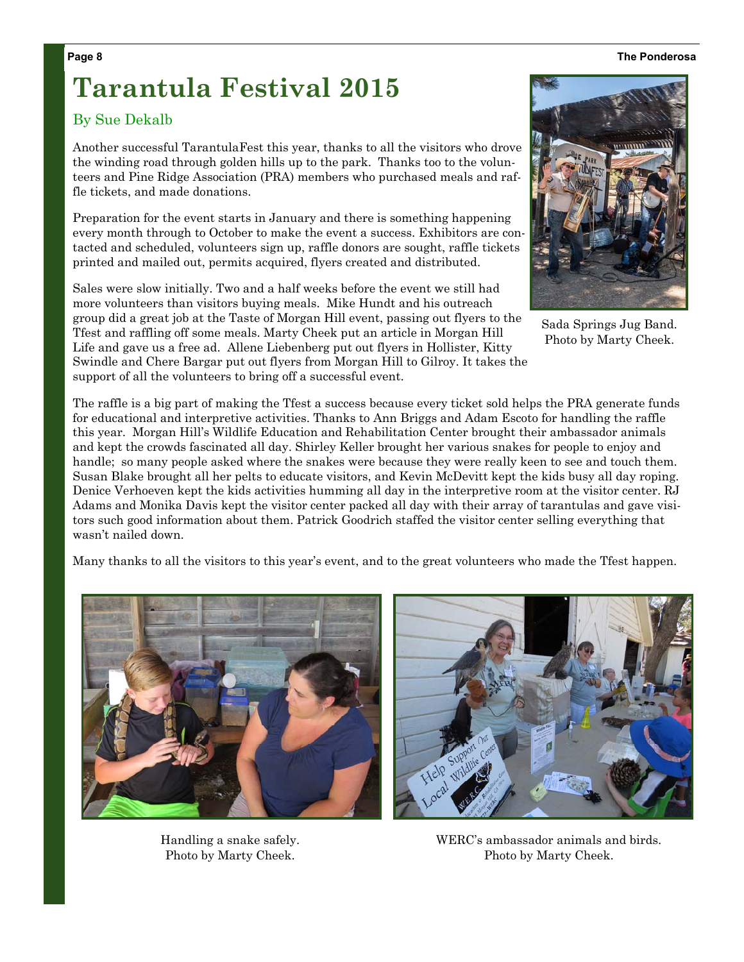#### **Page 8 The Ponderosa**

# **Tarantula Festival 2015**

#### By Sue Dekalb

Another successful TarantulaFest this year, thanks to all the visitors who drove the winding road through golden hills up to the park. Thanks too to the volunteers and Pine Ridge Association (PRA) members who purchased meals and raffle tickets, and made donations.

Preparation for the event starts in January and there is something happening every month through to October to make the event a success. Exhibitors are contacted and scheduled, volunteers sign up, raffle donors are sought, raffle tickets printed and mailed out, permits acquired, flyers created and distributed.

Sales were slow initially. Two and a half weeks before the event we still had more volunteers than visitors buying meals. Mike Hundt and his outreach group did a great job at the Taste of Morgan Hill event, passing out flyers to the Tfest and raffling off some meals. Marty Cheek put an article in Morgan Hill Life and gave us a free ad. Allene Liebenberg put out flyers in Hollister, Kitty Swindle and Chere Bargar put out flyers from Morgan Hill to Gilroy. It takes the support of all the volunteers to bring off a successful event.

The raffle is a big part of making the Tfest a success because every ticket sold helps the PRA generate funds for educational and interpretive activities. Thanks to Ann Briggs and Adam Escoto for handling the raffle this year. Morgan Hill's Wildlife Education and Rehabilitation Center brought their ambassador animals and kept the crowds fascinated all day. Shirley Keller brought her various snakes for people to enjoy and handle; so many people asked where the snakes were because they were really keen to see and touch them. Susan Blake brought all her pelts to educate visitors, and Kevin McDevitt kept the kids busy all day roping. Denice Verhoeven kept the kids activities humming all day in the interpretive room at the visitor center. RJ Adams and Monika Davis kept the visitor center packed all day with their array of tarantulas and gave visitors such good information about them. Patrick Goodrich staffed the visitor center selling everything that wasn't nailed down.

Many thanks to all the visitors to this year's event, and to the great volunteers who made the Tfest happen.



Handling a snake safely. Photo by Marty Cheek.





Sada Springs Jug Band. Photo by Marty Cheek.

WERC's ambassador animals and birds. Photo by Marty Cheek.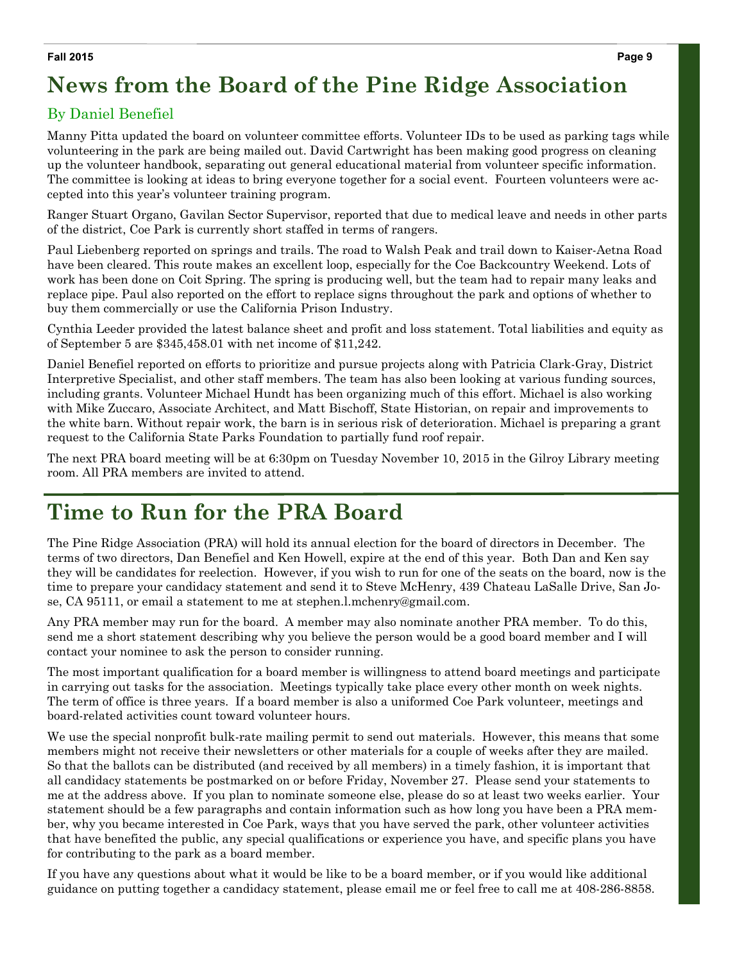#### **Fall 2015**

# **News from the Board of the Pine Ridge Association**

#### By Daniel Benefiel

Manny Pitta updated the board on volunteer committee efforts. Volunteer IDs to be used as parking tags while volunteering in the park are being mailed out. David Cartwright has been making good progress on cleaning up the volunteer handbook, separating out general educational material from volunteer specific information. The committee is looking at ideas to bring everyone together for a social event. Fourteen volunteers were accepted into this year's volunteer training program.

Ranger Stuart Organo, Gavilan Sector Supervisor, reported that due to medical leave and needs in other parts of the district, Coe Park is currently short staffed in terms of rangers.

Paul Liebenberg reported on springs and trails. The road to Walsh Peak and trail down to Kaiser-Aetna Road have been cleared. This route makes an excellent loop, especially for the Coe Backcountry Weekend. Lots of work has been done on Coit Spring. The spring is producing well, but the team had to repair many leaks and replace pipe. Paul also reported on the effort to replace signs throughout the park and options of whether to buy them commercially or use the California Prison Industry.

Cynthia Leeder provided the latest balance sheet and profit and loss statement. Total liabilities and equity as of September 5 are \$345,458.01 with net income of \$11,242.

Daniel Benefiel reported on efforts to prioritize and pursue projects along with Patricia Clark-Gray, District Interpretive Specialist, and other staff members. The team has also been looking at various funding sources, including grants. Volunteer Michael Hundt has been organizing much of this effort. Michael is also working with Mike Zuccaro, Associate Architect, and Matt Bischoff, State Historian, on repair and improvements to the white barn. Without repair work, the barn is in serious risk of deterioration. Michael is preparing a grant request to the California State Parks Foundation to partially fund roof repair.

The next PRA board meeting will be at 6:30pm on Tuesday November 10, 2015 in the Gilroy Library meeting room. All PRA members are invited to attend.

## **Time to Run for the PRA Board**

The Pine Ridge Association (PRA) will hold its annual election for the board of directors in December. The terms of two directors, Dan Benefiel and Ken Howell, expire at the end of this year. Both Dan and Ken say they will be candidates for reelection. However, if you wish to run for one of the seats on the board, now is the time to prepare your candidacy statement and send it to Steve McHenry, 439 Chateau LaSalle Drive, San Jose, CA 95111, or email a statement to me at stephen.l.mchenry@gmail.com.

Any PRA member may run for the board. A member may also nominate another PRA member. To do this, send me a short statement describing why you believe the person would be a good board member and I will contact your nominee to ask the person to consider running.

The most important qualification for a board member is willingness to attend board meetings and participate in carrying out tasks for the association. Meetings typically take place every other month on week nights. The term of office is three years. If a board member is also a uniformed Coe Park volunteer, meetings and board-related activities count toward volunteer hours.

We use the special nonprofit bulk-rate mailing permit to send out materials. However, this means that some members might not receive their newsletters or other materials for a couple of weeks after they are mailed. So that the ballots can be distributed (and received by all members) in a timely fashion, it is important that all candidacy statements be postmarked on or before Friday, November 27. Please send your statements to me at the address above. If you plan to nominate someone else, please do so at least two weeks earlier. Your statement should be a few paragraphs and contain information such as how long you have been a PRA member, why you became interested in Coe Park, ways that you have served the park, other volunteer activities that have benefited the public, any special qualifications or experience you have, and specific plans you have for contributing to the park as a board member.

If you have any questions about what it would be like to be a board member, or if you would like additional guidance on putting together a candidacy statement, please email me or feel free to call me at 408-286-8858.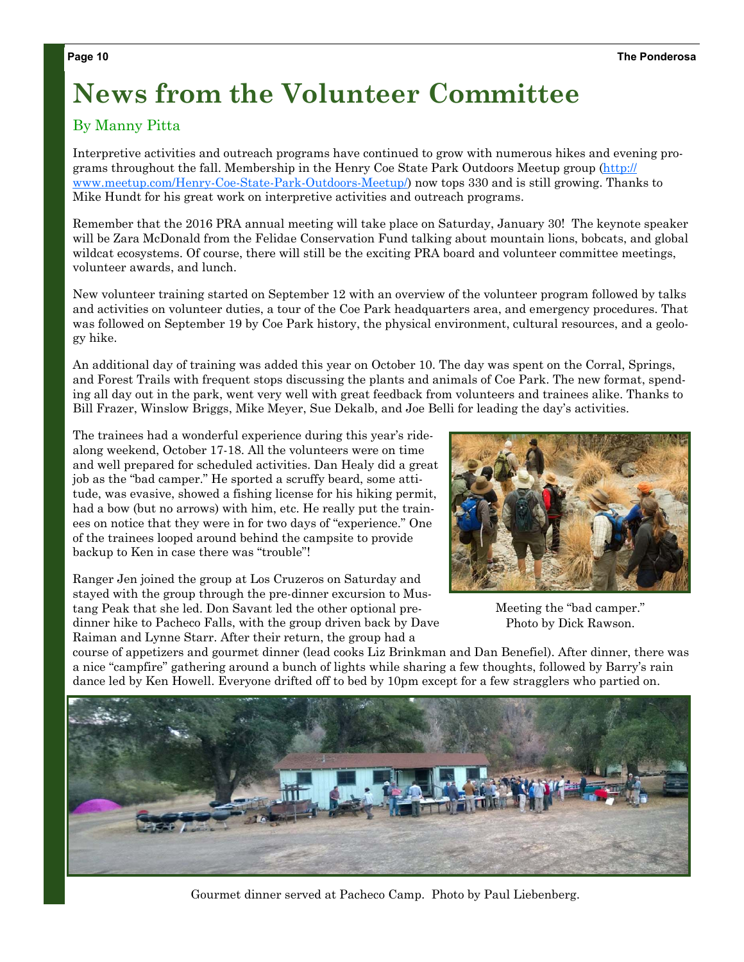# **News from the Volunteer Committee**

## By Manny Pitta

Interpretive activities and outreach programs have continued to grow with numerous hikes and evening programs throughout the fall. Membership in the Henry Coe State Park Outdoors Meetup group (http:// www.meetup.com/Henry-Coe-State-Park-Outdoors-Meetup/) now tops 330 and is still growing. Thanks to Mike Hundt for his great work on interpretive activities and outreach programs.

Remember that the 2016 PRA annual meeting will take place on Saturday, January 30! The keynote speaker will be Zara McDonald from the Felidae Conservation Fund talking about mountain lions, bobcats, and global wildcat ecosystems. Of course, there will still be the exciting PRA board and volunteer committee meetings, volunteer awards, and lunch.

New volunteer training started on September 12 with an overview of the volunteer program followed by talks and activities on volunteer duties, a tour of the Coe Park headquarters area, and emergency procedures. That was followed on September 19 by Coe Park history, the physical environment, cultural resources, and a geology hike.

An additional day of training was added this year on October 10. The day was spent on the Corral, Springs, and Forest Trails with frequent stops discussing the plants and animals of Coe Park. The new format, spending all day out in the park, went very well with great feedback from volunteers and trainees alike. Thanks to Bill Frazer, Winslow Briggs, Mike Meyer, Sue Dekalb, and Joe Belli for leading the day's activities.

The trainees had a wonderful experience during this year's ridealong weekend, October 17-18. All the volunteers were on time and well prepared for scheduled activities. Dan Healy did a great job as the "bad camper." He sported a scruffy beard, some attitude, was evasive, showed a fishing license for his hiking permit, had a bow (but no arrows) with him, etc. He really put the trainees on notice that they were in for two days of "experience." One of the trainees looped around behind the campsite to provide backup to Ken in case there was "trouble"!

Ranger Jen joined the group at Los Cruzeros on Saturday and stayed with the group through the pre-dinner excursion to Mustang Peak that she led. Don Savant led the other optional predinner hike to Pacheco Falls, with the group driven back by Dave Raiman and Lynne Starr. After their return, the group had a



Meeting the "bad camper." Photo by Dick Rawson.

course of appetizers and gourmet dinner (lead cooks Liz Brinkman and Dan Benefiel). After dinner, there was a nice "campfire" gathering around a bunch of lights while sharing a few thoughts, followed by Barry's rain dance led by Ken Howell. Everyone drifted off to bed by 10pm except for a few stragglers who partied on.



Gourmet dinner served at Pacheco Camp. Photo by Paul Liebenberg.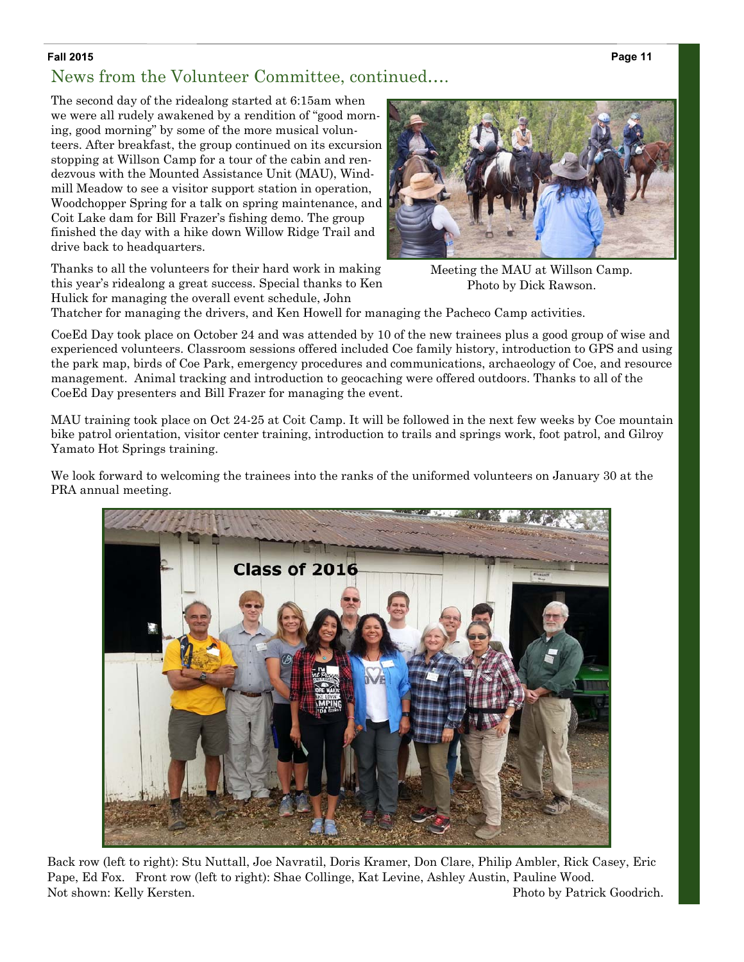**Page 11** 

#### **Fall 2015**

## News from the Volunteer Committee, continued….

The second day of the ridealong started at 6:15am when we were all rudely awakened by a rendition of "good morning, good morning" by some of the more musical volunteers. After breakfast, the group continued on its excursion stopping at Willson Camp for a tour of the cabin and rendezvous with the Mounted Assistance Unit (MAU), Windmill Meadow to see a visitor support station in operation, Woodchopper Spring for a talk on spring maintenance, and Coit Lake dam for Bill Frazer's fishing demo. The group finished the day with a hike down Willow Ridge Trail and drive back to headquarters.

Thanks to all the volunteers for their hard work in making this year's ridealong a great success. Special thanks to Ken Hulick for managing the overall event schedule, John



Meeting the MAU at Willson Camp. Photo by Dick Rawson.

Thatcher for managing the drivers, and Ken Howell for managing the Pacheco Camp activities.

CoeEd Day took place on October 24 and was attended by 10 of the new trainees plus a good group of wise and experienced volunteers. Classroom sessions offered included Coe family history, introduction to GPS and using the park map, birds of Coe Park, emergency procedures and communications, archaeology of Coe, and resource management. Animal tracking and introduction to geocaching were offered outdoors. Thanks to all of the CoeEd Day presenters and Bill Frazer for managing the event.

MAU training took place on Oct 24-25 at Coit Camp. It will be followed in the next few weeks by Coe mountain bike patrol orientation, visitor center training, introduction to trails and springs work, foot patrol, and Gilroy Yamato Hot Springs training.

We look forward to welcoming the trainees into the ranks of the uniformed volunteers on January 30 at the PRA annual meeting.



Back row (left to right): Stu Nuttall, Joe Navratil, Doris Kramer, Don Clare, Philip Ambler, Rick Casey, Eric Pape, Ed Fox. Front row (left to right): Shae Collinge, Kat Levine, Ashley Austin, Pauline Wood. Not shown: Kelly Kersten. The extension of the Photo by Patrick Goodrich.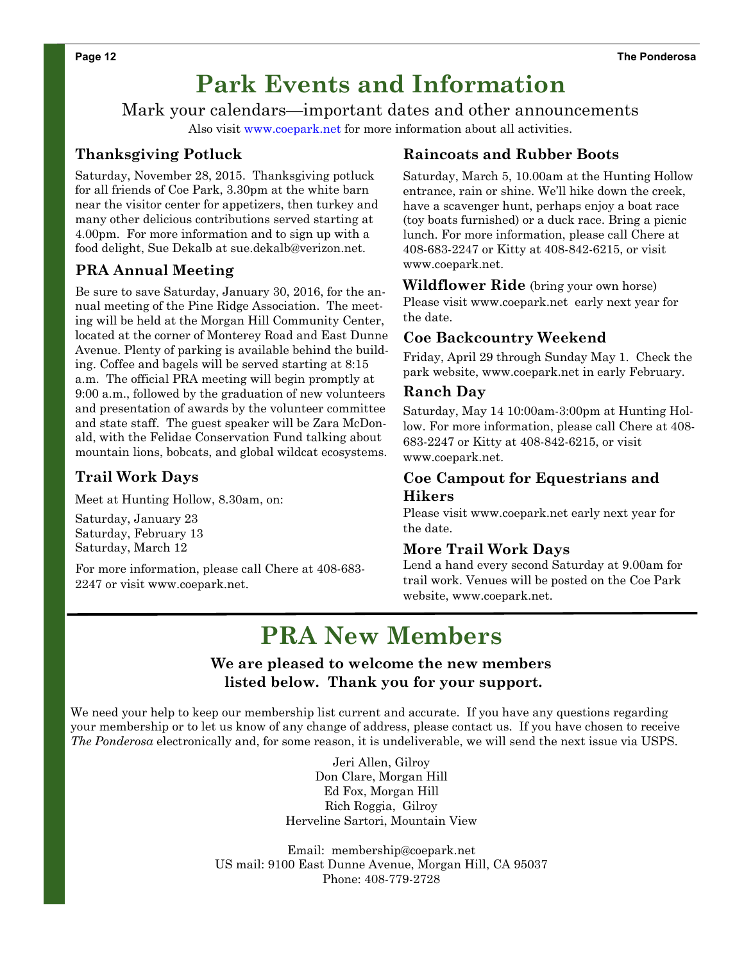# **Park Events and Information**

Mark your calendars—important dates and other announcements

Also visit www.coepark.net for more information about all activities.

## **Thanksgiving Potluck**

Saturday, November 28, 2015. Thanksgiving potluck for all friends of Coe Park, 3.30pm at the white barn near the visitor center for appetizers, then turkey and many other delicious contributions served starting at 4.00pm. For more information and to sign up with a food delight, Sue Dekalb at sue.dekalb@verizon.net.

## **PRA Annual Meeting**

Be sure to save Saturday, January 30, 2016, for the annual meeting of the Pine Ridge Association. The meeting will be held at the Morgan Hill Community Center, located at the corner of Monterey Road and East Dunne Avenue. Plenty of parking is available behind the building. Coffee and bagels will be served starting at 8:15 a.m. The official PRA meeting will begin promptly at 9:00 a.m., followed by the graduation of new volunteers and presentation of awards by the volunteer committee and state staff. The guest speaker will be Zara McDonald, with the Felidae Conservation Fund talking about mountain lions, bobcats, and global wildcat ecosystems.

## **Trail Work Days**

Meet at Hunting Hollow, 8.30am, on:

Saturday, January 23 Saturday, February 13 Saturday, March 12

For more information, please call Chere at 408-683- 2247 or visit www.coepark.net.

### **Raincoats and Rubber Boots**

Saturday, March 5, 10.00am at the Hunting Hollow entrance, rain or shine. We'll hike down the creek, have a scavenger hunt, perhaps enjoy a boat race (toy boats furnished) or a duck race. Bring a picnic lunch. For more information, please call Chere at 408-683-2247 or Kitty at 408-842-6215, or visit www.coepark.net.

**Wildflower Ride** (bring your own horse) Please visit www.coepark.net early next year for the date.

## **Coe Backcountry Weekend**

Friday, April 29 through Sunday May 1. Check the park website, www.coepark.net in early February.

#### **Ranch Day**

Saturday, May 14 10:00am-3:00pm at Hunting Hollow. For more information, please call Chere at 408- 683-2247 or Kitty at 408-842-6215, or visit www.coepark.net.

#### **Coe Campout for Equestrians and Hikers**

Please visit www.coepark.net early next year for the date.

#### **More Trail Work Days**

Lend a hand every second Saturday at 9.00am for trail work. Venues will be posted on the Coe Park website, www.coepark.net.

# **PRA New Members**

### **We are pleased to welcome the new members listed below. Thank you for your support.**

We need your help to keep our membership list current and accurate. If you have any questions regarding your membership or to let us know of any change of address, please contact us. If you have chosen to receive *The Ponderosa* electronically and, for some reason, it is undeliverable, we will send the next issue via USPS.

> Jeri Allen, Gilroy Don Clare, Morgan Hill Ed Fox, Morgan Hill Rich Roggia, Gilroy Herveline Sartori, Mountain View

Email: membership@coepark.net US mail: 9100 East Dunne Avenue, Morgan Hill, CA 95037 Phone: 408-779-2728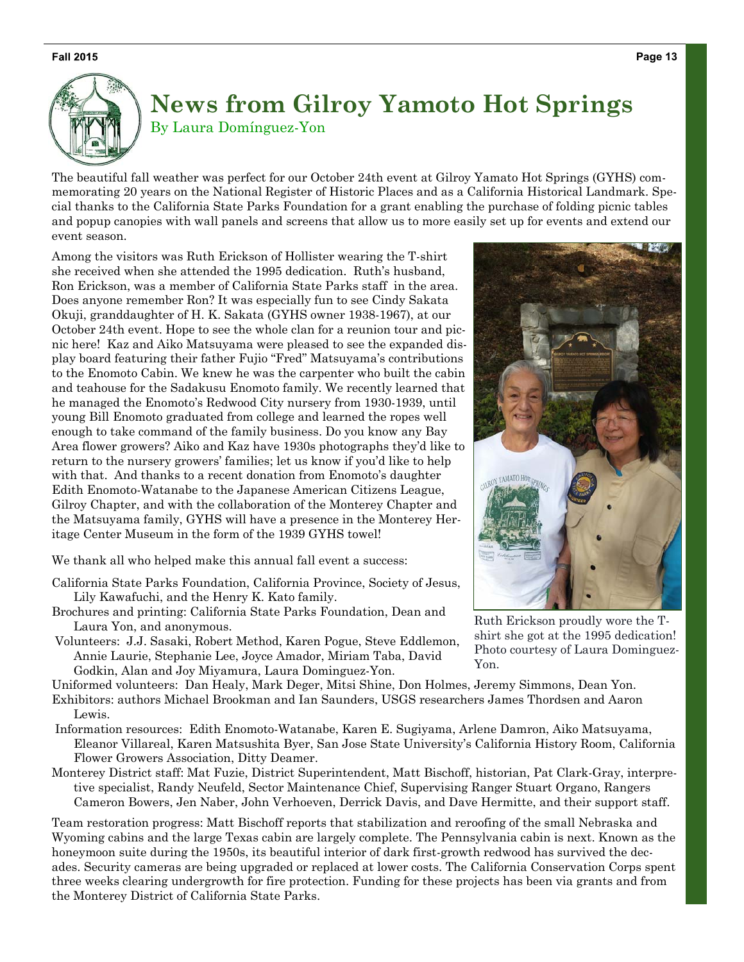#### **Fall 2015**



## **News from Gilroy Yamoto Hot Springs**  By Laura Domínguez-Yon

The beautiful fall weather was perfect for our October 24th event at Gilroy Yamato Hot Springs (GYHS) commemorating 20 years on the National Register of Historic Places and as a California Historical Landmark. Special thanks to the California State Parks Foundation for a grant enabling the purchase of folding picnic tables and popup canopies with wall panels and screens that allow us to more easily set up for events and extend our event season.

Among the visitors was Ruth Erickson of Hollister wearing the T-shirt she received when she attended the 1995 dedication. Ruth's husband, Ron Erickson, was a member of California State Parks staff in the area. Does anyone remember Ron? It was especially fun to see Cindy Sakata Okuji, granddaughter of H. K. Sakata (GYHS owner 1938-1967), at our October 24th event. Hope to see the whole clan for a reunion tour and picnic here! Kaz and Aiko Matsuyama were pleased to see the expanded display board featuring their father Fujio "Fred" Matsuyama's contributions to the Enomoto Cabin. We knew he was the carpenter who built the cabin and teahouse for the Sadakusu Enomoto family. We recently learned that he managed the Enomoto's Redwood City nursery from 1930-1939, until young Bill Enomoto graduated from college and learned the ropes well enough to take command of the family business. Do you know any Bay Area flower growers? Aiko and Kaz have 1930s photographs they'd like to return to the nursery growers' families; let us know if you'd like to help with that. And thanks to a recent donation from Enomoto's daughter Edith Enomoto-Watanabe to the Japanese American Citizens League, Gilroy Chapter, and with the collaboration of the Monterey Chapter and the Matsuyama family, GYHS will have a presence in the Monterey Heritage Center Museum in the form of the 1939 GYHS towel!

We thank all who helped make this annual fall event a success:

- California State Parks Foundation, California Province, Society of Jesus, Lily Kawafuchi, and the Henry K. Kato family.
- Brochures and printing: California State Parks Foundation, Dean and Laura Yon, and anonymous.
- Volunteers: J.J. Sasaki, Robert Method, Karen Pogue, Steve Eddlemon, Annie Laurie, Stephanie Lee, Joyce Amador, Miriam Taba, David Godkin, Alan and Joy Miyamura, Laura Dominguez-Yon.

Uniformed volunteers: Dan Healy, Mark Deger, Mitsi Shine, Don Holmes, Jeremy Simmons, Dean Yon.

Exhibitors: authors Michael Brookman and Ian Saunders, USGS researchers James Thordsen and Aaron Lewis.

- Information resources: Edith Enomoto-Watanabe, Karen E. Sugiyama, Arlene Damron, Aiko Matsuyama, Eleanor Villareal, Karen Matsushita Byer, San Jose State University's California History Room, California Flower Growers Association, Ditty Deamer.
- Monterey District staff: Mat Fuzie, District Superintendent, Matt Bischoff, historian, Pat Clark-Gray, interpretive specialist, Randy Neufeld, Sector Maintenance Chief, Supervising Ranger Stuart Organo, Rangers Cameron Bowers, Jen Naber, John Verhoeven, Derrick Davis, and Dave Hermitte, and their support staff.

Team restoration progress: Matt Bischoff reports that stabilization and reroofing of the small Nebraska and Wyoming cabins and the large Texas cabin are largely complete. The Pennsylvania cabin is next. Known as the honeymoon suite during the 1950s, its beautiful interior of dark first-growth redwood has survived the decades. Security cameras are being upgraded or replaced at lower costs. The California Conservation Corps spent three weeks clearing undergrowth for fire protection. Funding for these projects has been via grants and from the Monterey District of California State Parks.



Ruth Erickson proudly wore the Tshirt she got at the 1995 dedication! Photo courtesy of Laura Dominguez-Yon.